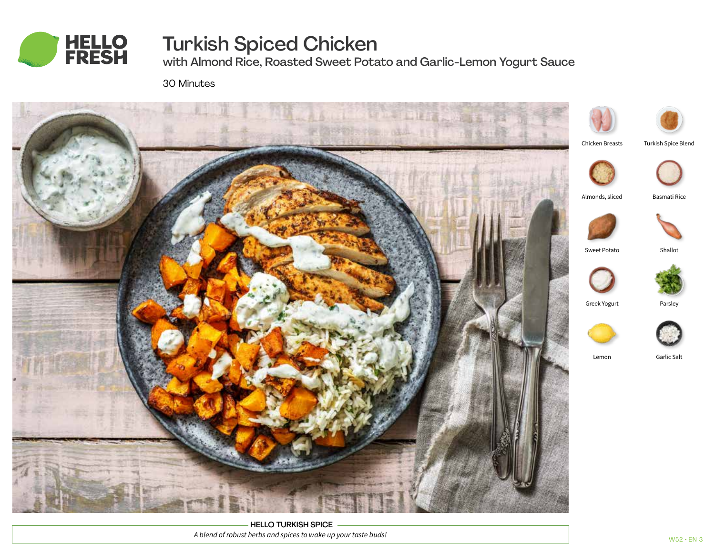

# Turkish Spiced Chicken

with Almond Rice, Roasted Sweet Potato and Garlic-Lemon Yogurt Sauce

30 Minutes



HELLO TURKISH SPICE *A blend of robust herbs and spices to wake up your taste buds!*